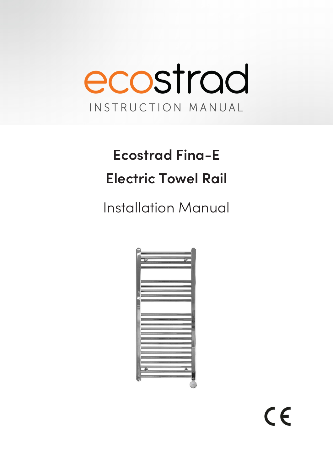

# **Ecostrad Fina-E Electric Towel Rail**

**Installation Manual** 

|    | _ |          |   |
|----|---|----------|---|
|    |   | $\equiv$ |   |
|    |   |          |   |
| h  |   |          |   |
|    |   |          |   |
|    |   |          |   |
|    |   | ______   |   |
|    |   |          |   |
|    |   |          |   |
| ı  |   |          |   |
|    |   |          |   |
|    |   |          |   |
|    |   |          |   |
|    |   |          |   |
|    |   |          |   |
|    |   |          |   |
|    |   |          |   |
|    |   |          |   |
|    |   | ____     |   |
|    |   |          |   |
|    |   |          |   |
|    |   |          |   |
|    |   |          |   |
|    |   |          |   |
|    |   |          |   |
|    |   |          |   |
|    |   |          |   |
| g. |   |          | 巫 |
|    |   |          |   |
|    |   |          |   |
|    |   |          |   |
|    |   |          |   |

 $C \in$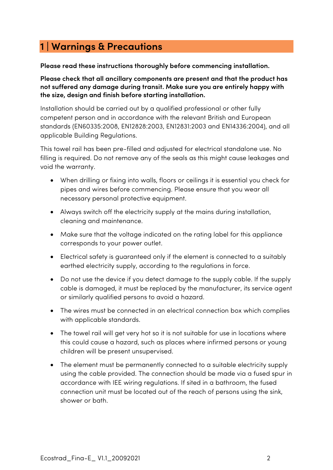## **1 | Warnings & Precautions**

**Please read these instructions thoroughly before commencing installation.**

**Please check that all ancillary components are present and that the product has not suffered any damage during transit. Make sure you are entirely happy with the size, design and finish before starting installation.** 

Installation should be carried out by a qualified professional or other fully competent person and in accordance with the relevant British and European standards (EN60335:2008, EN12828:2003, EN12831:2003 and EN14336:2004), and all applicable Building Regulations.

This towel rail has been pre-filled and adjusted for electrical standalone use. No filling is required. Do not remove any of the seals as this might cause leakages and void the warranty.

- When drilling or fixing into walls, floors or ceilings it is essential you check for pipes and wires before commencing. Please ensure that you wear all necessary personal protective equipment.
- Always switch off the electricity supply at the mains during installation, cleaning and maintenance.
- Make sure that the voltage indicated on the rating label for this appliance corresponds to your power outlet.
- Electrical safety is guaranteed only if the element is connected to a suitably earthed electricity supply, according to the regulations in force.
- Do not use the device if you detect damage to the supply cable. If the supply cable is damaged, it must be replaced by the manufacturer, its service agent or similarly qualified persons to avoid a hazard.
- The wires must be connected in an electrical connection box which complies with applicable standards.
- The towel rail will get very hot so it is not suitable for use in locations where this could cause a hazard, such as places where infirmed persons or young children will be present unsupervised.
- The element must be permanently connected to a suitable electricity supply using the cable provided. The connection should be made via a fused spur in accordance with IEE wiring regulations. If sited in a bathroom, the fused connection unit must be located out of the reach of persons using the sink, shower or bath.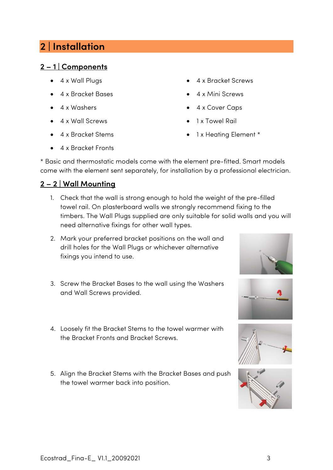## **2 | Installation**

#### **2 – 1 | Components**

- 4 x Wall Plugs
- 4 x Bracket Bases
- 4 x Washers
- 4 x Wall Screws
- 4 x Bracket Stems
- 4 x Bracket Fronts
- 4 x Bracket Screws
- 4 x Mini Screws
- 4 x Cover Caps
- 1 x Towel Rail
- 1 x Heating Element \*

\* Basic and thermostatic models come with the element pre-fitted. Smart models come with the element sent separately, for installation by a professional electrician.

#### **2 – 2 | Wall Mounting**

- 1. Check that the wall is strong enough to hold the weight of the pre-filled towel rail. On plasterboard walls we strongly recommend fixing to the timbers. The Wall Plugs supplied are only suitable for solid walls and you will need alternative fixings for other wall types.
- 2. Mark your preferred bracket positions on the wall and drill holes for the Wall Plugs or whichever alternative fixings you intend to use.
- 3. Screw the Bracket Bases to the wall using the Washers and Wall Screws provided.
- 4. Loosely fit the Bracket Stems to the towel warmer with the Bracket Fronts and Bracket Screws.
- 5. Align the Bracket Stems with the Bracket Bases and push the towel warmer back into position.







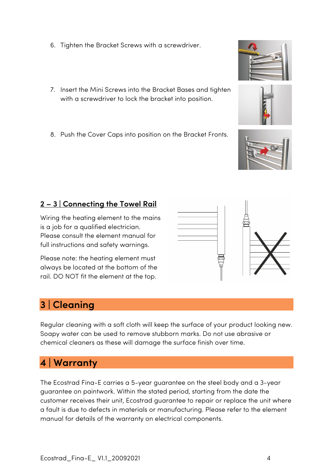Ecostrad\_Fina-E\_ V1.1\_20092021 4

- 6. Tighten the Bracket Screws with a screwdriver.
- 7. Insert the Mini Screws into the Bracket Bases and tighten with a screwdriver to lock the bracket into position.
- 8. Push the Cover Caps into position on the Bracket Fronts.

#### **2 – 3 | Connecting the Towel Rail**

Wiring the heating element to the mains is a job for a qualified electrician. Please consult the element manual for full instructions and safety warnings.

Please note: the heating element must always be located at the bottom of the rail. DO NOT fit the element at the top.

## **3 | Cleaning**

Regular cleaning with a soft cloth will keep the surface of your product looking new. Soapy water can be used to remove stubborn marks. Do not use abrasive or chemical cleaners as these will damage the surface finish over time.

### **4 | Warranty**

The Ecostrad Fina-E carries a 5-year guarantee on the steel body and a 3-year guarantee on paintwork. Within the stated period, starting from the date the customer receives their unit, Ecostrad guarantee to repair or replace the unit where a fault is due to defects in materials or manufacturing. Please refer to the element manual for details of the warranty on electrical components.